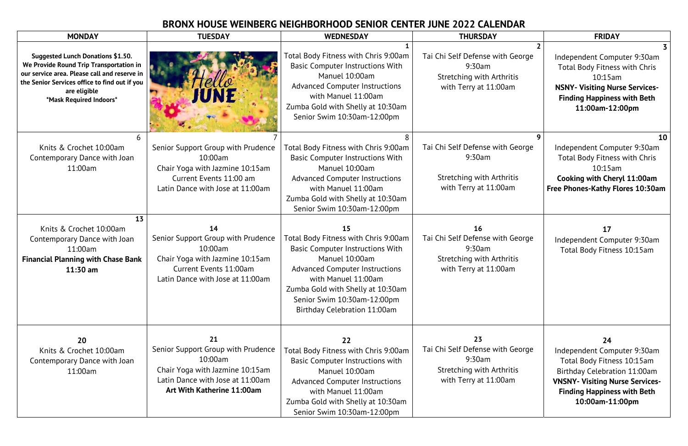## **BRONX HOUSE WEINBERG NEIGHBORHOOD SENIOR CENTER JUNE 2022 CALENDAR**

| <b>MONDAY</b>                                                                                                                                                                                                                   | <b>TUESDAY</b>                                                                                                                                              | <b>WEDNESDAY</b>                                                                                                                                                                                                                                                            | <b>THURSDAY</b>                                                                                               | <b>FRIDAY</b>                                                                                                                                                                                      |
|---------------------------------------------------------------------------------------------------------------------------------------------------------------------------------------------------------------------------------|-------------------------------------------------------------------------------------------------------------------------------------------------------------|-----------------------------------------------------------------------------------------------------------------------------------------------------------------------------------------------------------------------------------------------------------------------------|---------------------------------------------------------------------------------------------------------------|----------------------------------------------------------------------------------------------------------------------------------------------------------------------------------------------------|
| <b>Suggested Lunch Donations \$1.50.</b><br>We Provide Round Trip Transportation in<br>our service area. Please call and reserve in<br>the Senior Services office to find out if you<br>are eligible<br>*Mask Required Indoors* |                                                                                                                                                             | Total Body Fitness with Chris 9:00am<br><b>Basic Computer Instructions With</b><br>Manuel 10:00am<br><b>Advanced Computer Instructions</b><br>with Manuel 11:00am<br>Zumba Gold with Shelly at 10:30am<br>Senior Swim 10:30am-12:00pm                                       | Tai Chi Self Defense with George<br>9:30am<br><b>Stretching with Arthritis</b><br>with Terry at 11:00am       | Independent Computer 9:30am<br><b>Total Body Fitness with Chris</b><br>$10:15$ am<br><b>NSNY- Visiting Nurse Services-</b><br><b>Finding Happiness with Beth</b><br>11:00am-12:00pm                |
| 6.<br>Knits & Crochet 10:00am<br>Contemporary Dance with Joan<br>11:00am                                                                                                                                                        | Senior Support Group with Prudence<br>10:00am<br>Chair Yoga with Jazmine 10:15am<br>Current Events 11:00 am<br>Latin Dance with Jose at 11:00am             | Total Body Fitness with Chris 9:00am<br><b>Basic Computer Instructions With</b><br>Manuel 10:00am<br><b>Advanced Computer Instructions</b><br>with Manuel 11:00am<br>Zumba Gold with Shelly at 10:30am<br>Senior Swim 10:30am-12:00pm                                       | Tai Chi Self Defense with George<br>9:30am<br><b>Stretching with Arthritis</b><br>with Terry at 11:00am       | 10 <sup>1</sup><br>Independent Computer 9:30am<br><b>Total Body Fitness with Chris</b><br>$10:15$ am<br>Cooking with Cheryl 11:00am<br>Free Phones-Kathy Flores 10:30am                            |
| 13<br>Knits & Crochet 10:00am<br>Contemporary Dance with Joan<br>11:00am<br><b>Financial Planning with Chase Bank</b><br>$11:30$ am                                                                                             | 14<br>Senior Support Group with Prudence<br>$10:00$ am<br>Chair Yoga with Jazmine 10:15am<br>Current Events 11:00am<br>atin Dance with Jose at 11:00am      | 15<br>Total Body Fitness with Chris 9:00am<br><b>Basic Computer Instructions With</b><br>Manuel 10:00am<br><b>Advanced Computer Instructions</b><br>with Manuel 11:00am<br>Zumba Gold with Shelly at 10:30am<br>Senior Swim 10:30am-12:00pm<br>Birthday Celebration 11:00am | <b>16</b><br>Tai Chi Self Defense with George<br>9:30am<br>Stretching with Arthritis<br>with Terry at 11:00am | 17<br>Independent Computer 9:30am<br>Total Body Fitness 10:15am                                                                                                                                    |
| 20<br>Knits & Crochet 10:00am<br>Contemporary Dance with Joan<br>11:00am                                                                                                                                                        | 21<br>Senior Support Group with Prudence<br>$10:00$ am<br>Chair Yoga with Jazmine 10:15am<br>Latin Dance with Jose at 11:00am<br>Art With Katherine 11:00am | 22<br>Total Body Fitness with Chris 9:00am<br><b>Basic Computer Instructions with</b><br>Manuel 10:00am<br><b>Advanced Computer Instructions</b><br>with Manuel 11:00am<br>Zumba Gold with Shelly at 10:30am<br>Senior Swim 10:30am-12:00pm                                 | 23<br>Tai Chi Self Defense with George<br>9:30am<br><b>Stretching with Arthritis</b><br>with Terry at 11:00am | 24<br>Independent Computer 9:30am<br>Total Body Fitness 10:15am<br>Birthday Celebration 11:00am<br><b>VNSNY- Visiting Nurse Services-</b><br><b>Finding Happiness with Beth</b><br>10:00am-11:00pm |